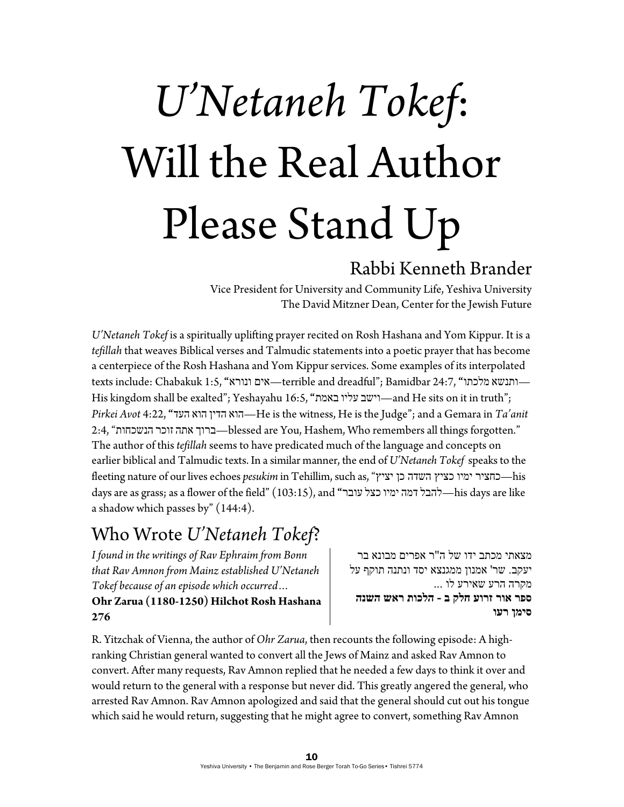# *U'Netaneh Tokef*: Will the Real Author Please Stand Up

#### Rabbi Kenneth Brander

Vice President for University and Community Life, Yeshiva University The David Mitzner Dean, Center for the Jewish Future

*U'Netaneh Tokef* is a spiritually uplifting prayer recited on Rosh Hashana and Yom Kippur. It is a *tefillah* that weaves Biblical verses and Talmudic statements into a poetic prayer that has become a centerpiece of the Rosh Hashana and Yom Kippur services. Some examples of its interpolated texts include: Chabakuk 1:5, **"**ונורא אים—terrible and dreadful"; Bamidbar 24:7, **"**מלכתו ותנשא— His kingdom shall be exalted"; Yeshayahu 16:5, **"**באמת עליו וישב—and He sits on it in truth"; *Pirkei Avot* 4:22, **"**העד הוא הדין הוא—He is the witness, He is the Judge"; and a Gemara in *Ta'anit* 2:4, "הנשכחות זוכר אתה ברוך—blessed are You, Hashem, Who remembers all things forgotten." The author of this *tefillah* seems to have predicated much of the language and concepts on earlier biblical and Talmudic texts. In a similar manner, the end of *U'Netaneh Tokef* speaks to the fleeting nature of our lives echoes *pesukim* in Tehillim, such as, "יציץ כן השדה כציץ ימיו כחציר—his days are as grass; as a flower of the field" (103:15), and **"**עובר כצל ימיו דמה להבל—his days are like a shadow which passes by" (144:4).

#### Who Wrote *U'Netaneh Tokef*?

*I found in the writings of Rav Ephraim from Bonn that Rav Amnon from Mainz established U'Netaneh Tokef because of an episode which occurred…* 

**Ohr Zarua (1180-1250) Hilchot Rosh Hashana 276** 

מצאתי מכתב ידו של ה"ר אפרים מבונא בר יעקב. שר' אמנון ממגנצא יסד ונתנה תוקף על מקרה הרע שאירע לו ... **ספר אור זרוע חלק ב - הלכות ראש השנה סימן רעו**

R. Yitzchak of Vienna, the author of *Ohr Zarua*, then recounts the following episode: A highranking Christian general wanted to convert all the Jews of Mainz and asked Rav Amnon to convert. After many requests, Rav Amnon replied that he needed a few days to think it over and would return to the general with a response but never did. This greatly angered the general, who arrested Rav Amnon. Rav Amnon apologized and said that the general should cut out his tongue which said he would return, suggesting that he might agree to convert, something Rav Amnon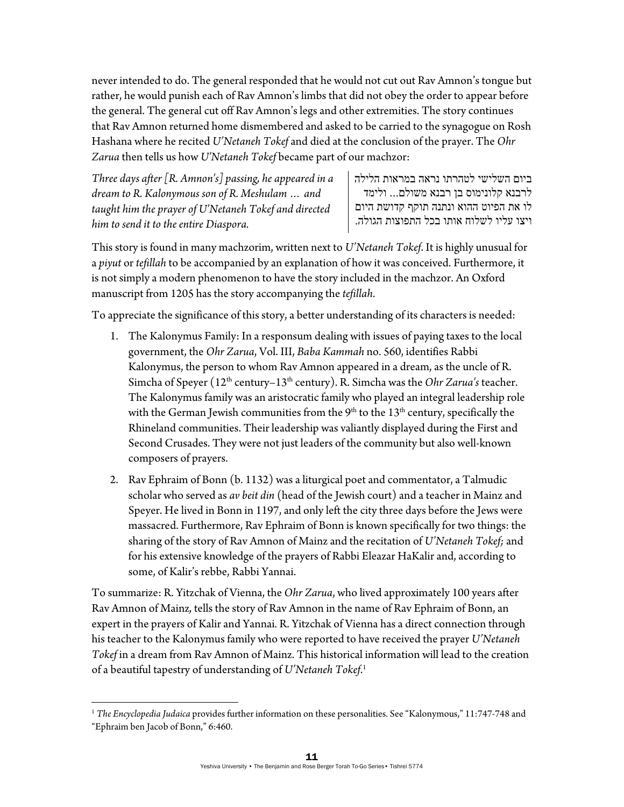never intended to do. The general responded that he would not cut out Rav Amnon's tongue but rather, he would punish each of Rav Amnon's limbs that did not obey the order to appear before the general. The general cut off Rav Amnon's legs and other extremities. The story continues that Rav Amnon returned home dismembered and asked to be carried to the synagogue on Rosh Hashana where he recited *U'Netaneh Tokef* and died at the conclusion of the prayer. The *Ohr Zarua* then tells us how *U'Netaneh Tokef* became part of our machzor:

*Three days after [R. Amnon's] passing, he appeared in a dream to R. Kalonymous son of R. Meshulam … and taught him the prayer of U'Netaneh Tokef and directed him to send it to the entire Diaspora.* 

 $\overline{a}$ 

ביום השלישי לטהרתו נראה במראות הלילה לרבנא קלונימוס בן רבנא משולם... ולימד לו את הפיוט ההוא ונתנה תוקף קדושת היום ויצו עליו לשלוח אותו בכל התפוצות הגולה.

This story is found in many machzorim, written next to *U'Netaneh Tokef*. It is highly unusual for a *piyut* or *tefillah* to be accompanied by an explanation of how it was conceived. Furthermore, it is not simply a modern phenomenon to have the story included in the machzor. An Oxford manuscript from 1205 has the story accompanying the *tefillah*.

To appreciate the significance of this story, a better understanding of its characters is needed:

- 1. The Kalonymus Family: In a responsum dealing with issues of paying taxes to the local government, the *Ohr Zarua*, Vol. III, *Baba Kammah* no. 560, identifies Rabbi Kalonymus, the person to whom Rav Amnon appeared in a dream, as the uncle of R. Simcha of Speyer (12<sup>th</sup> century–13<sup>th</sup> century). R. Simcha was the *Ohr Zarua's* teacher. The Kalonymus family was an aristocratic family who played an integral leadership role with the German Jewish communities from the  $9<sup>th</sup>$  to the  $13<sup>th</sup>$  century, specifically the Rhineland communities. Their leadership was valiantly displayed during the First and Second Crusades. They were not just leaders of the community but also well-known composers of prayers.
- 2. Rav Ephraim of Bonn (b. 1132) was a liturgical poet and commentator, a Talmudic scholar who served as *av beit din* (head of the Jewish court) and a teacher in Mainz and Speyer. He lived in Bonn in 1197, and only left the city three days before the Jews were massacred. Furthermore, Rav Ephraim of Bonn is known specifically for two things: the sharing of the story of Rav Amnon of Mainz and the recitation of *U'Netaneh Tokef;* and for his extensive knowledge of the prayers of Rabbi Eleazar HaKalir and, according to some, of Kalir's rebbe, Rabbi Yannai.

To summarize: R. Yitzchak of Vienna, the *Ohr Zarua*, who lived approximately 100 years after Rav Amnon of Mainz*,* tells the story of Rav Amnon in the name of Rav Ephraim of Bonn, an expert in the prayers of Kalir and Yannai*.* R. Yitzchak of Vienna has a direct connection through his teacher to the Kalonymus family who were reported to have received the prayer *U'Netaneh Tokef* in a dream from Rav Amnon of Mainz. This historical information will lead to the creation of a beautiful tapestry of understanding of *U'Netaneh Tokef*. 1

<sup>1</sup> *The Encyclopedia Judaica* provides further information on these personalities. See "Kalonymous," 11:747-748 and "Ephraim ben Jacob of Bonn," 6:460.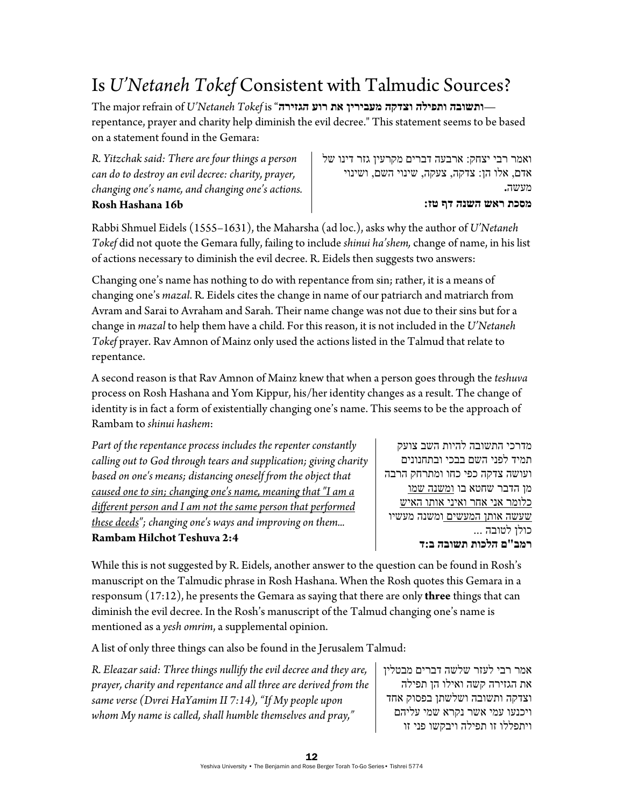# Is *U'Netaneh Tokef* Consistent with Talmudic Sources?

The major refrain of *U'Netaneh Tokef* is "**הגזירה רוע את מעבירין וצדקה ותפילה ותשובה** repentance, prayer and charity help diminish the evil decree." This statement seems to be based on a statement found in the Gemara:

*R. Yitzchak said: There are four things a person can do to destroy an evil decree: charity, prayer, changing one's name, and changing one's actions.* **Rosh Hashana 16b** 

ואמר רבי יצחק: ארבעה דברים מקרעין גזר דינו של אדם, אלו הן: צדקה, צעקה, שינוי השם, ושינוי מעשה**. מסכת ראש השנה דף טז:** 

Rabbi Shmuel Eidels (1555–1631), the Maharsha (ad loc.), asks why the author of *U'Netaneh Tokef* did not quote the Gemara fully, failing to include *shinui ha'shem,* change of name, in his list of actions necessary to diminish the evil decree. R. Eidels then suggests two answers:

Changing one's name has nothing to do with repentance from sin; rather, it is a means of changing one's *mazal*. R. Eidels cites the change in name of our patriarch and matriarch from Avram and Sarai to Avraham and Sarah. Their name change was not due to their sins but for a change in *mazal* to help them have a child. For this reason, it is not included in the *U'Netaneh Tokef* prayer. Rav Amnon of Mainz only used the actions listed in the Talmud that relate to repentance.

A second reason is that Rav Amnon of Mainz knew that when a person goes through the *teshuva* process on Rosh Hashana and Yom Kippur, his/her identity changes as a result. The change of identity is in fact a form of existentially changing one's name. This seems to be the approach of Rambam to *shinui hashem*:

| Rambam Hilchot Teshuva 2:4                                        |  |
|-------------------------------------------------------------------|--|
| these deeds"; changing one's ways and improving on them           |  |
| different person and I am not the same person that performed      |  |
| caused one to sin; changing one's name, meaning that "I am a      |  |
| based on one's means; distancing oneself from the object that     |  |
| calling out to God through tears and supplication; giving charity |  |
| Part of the repentance process includes the repenter constantly   |  |

מדרכי התשובה להיות השב צועק תמיד לפני השם בבכי ובתחנונים ועושה צדקה כפי כחו ומתרחק הרבה מן הדבר שחטא בו ומשנה שמו כלומר אני אחר ואיני אותו האיש שעשה אותן המעשים ומשנה מעשיו כולן לטובה ... **רמב"ם הלכות תשובה ב:ד**

While this is not suggested by R. Eidels, another answer to the question can be found in Rosh's manuscript on the Talmudic phrase in Rosh Hashana. When the Rosh quotes this Gemara in a responsum (17:12), he presents the Gemara as saying that there are only **three** things that can diminish the evil decree. In the Rosh's manuscript of the Talmud changing one's name is mentioned as a *yesh omrim*, a supplemental opinion.

A list of only three things can also be found in the Jerusalem Talmud:

*R. Eleazar said: Three things nullify the evil decree and they are, prayer, charity and repentance and all three are derived from the same verse (Dvrei HaYamim II 7:14), "If My people upon whom My name is called, shall humble themselves and pray,"* 

אמר רבי לעזר שלשה דברים מבטלין את הגזירה קשה ואילו הן תפילה וצדקה ותשובה ושלשתן בפסוק אחד ויכנעו עמי אשר נקרא שמי עליהם ויתפללו זו תפילה ויבקשו פני זו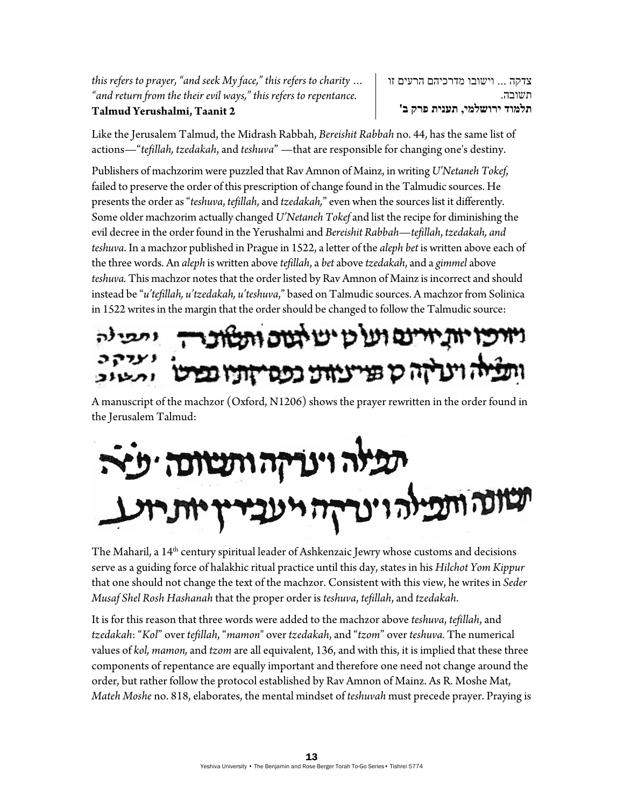*this refers to prayer, "and seek My face," this refers to charity … "and return from the their evil ways," this refers to repentance.*  **Talmud Yerushalmi, Taanit 2**

צדקה ... וישובו מדרכיהם הרעים זו תשובה. **תלמוד ירושלמי, תענית פרק ב'**

Like the Jerusalem Talmud, the Midrash Rabbah, *Bereishit Rabbah* no. 44, has the same list of actions—"*tefillah, tzedakah*, and *teshuva*" —that are responsible for changing one's destiny.

Publishers of machzorim were puzzled that Rav Amnon of Mainz, in writing *U'Netaneh Tokef*, failed to preserve the order of this prescription of change found in the Talmudic sources. He presents the order as "*teshuva*, *tefillah*, and *tzedakah,*" even when the sources list it differently. Some older machzorim actually changed *U'Netaneh Tokef* and list the recipe for diminishing the evil decree in the order found in the Yerushalmi and *Bereishit Rabbah*—*tefillah*, *tzedakah, and teshuva*. In a machzor published in Prague in 1522, a letter of the *aleph bet* is written above each of the three words. An *aleph* is written above *tefillah*, a *bet* above *tzedakah*, and a *gimmel* above *teshuva.* This machzor notes that the order listed by Rav Amnon of Mainz is incorrect and should instead be "*u'tefillah, u'tzedakah, u'teshuva*," based on Talmudic sources. A machzor from Solinica in 1522 writes in the margin that the order should be changed to follow the Talmudic source:

# ויויכו יות ייינם ועל כו יש לטים ותל ז וינריזה כן פניינוזינו כפסייזופיו נכר

A manuscript of the machzor (Oxford, N1206) shows the prayer rewritten in the order found in the Jerusalem Talmud:

# וה וינריזה ותשונה ישיר

The Maharil, a 14<sup>th</sup> century spiritual leader of Ashkenzaic Jewry whose customs and decisions serve as a guiding force of halakhic ritual practice until this day, states in his *Hilchot Yom Kippur* that one should not change the text of the machzor. Consistent with this view, he writes in *Seder Musaf Shel Rosh Hashanah* that the proper order is *teshuva*, *tefillah*, and *tzedakah*.

It is for this reason that three words were added to the machzor above *teshuva*, *tefillah*, and *tzedakah*: "*Kol*" over *tefillah*, "*mamon*" over *tzedakah*, and "*tzom*" over *teshuva.* The numerical values of *kol, mamon,* and *tzom* are all equivalent, 136, and with this, it is implied that these three components of repentance are equally important and therefore one need not change around the order, but rather follow the protocol established by Rav Amnon of Mainz. As R. Moshe Mat, *Mateh Moshe* no. 818, elaborates, the mental mindset of *teshuvah* must precede prayer. Praying is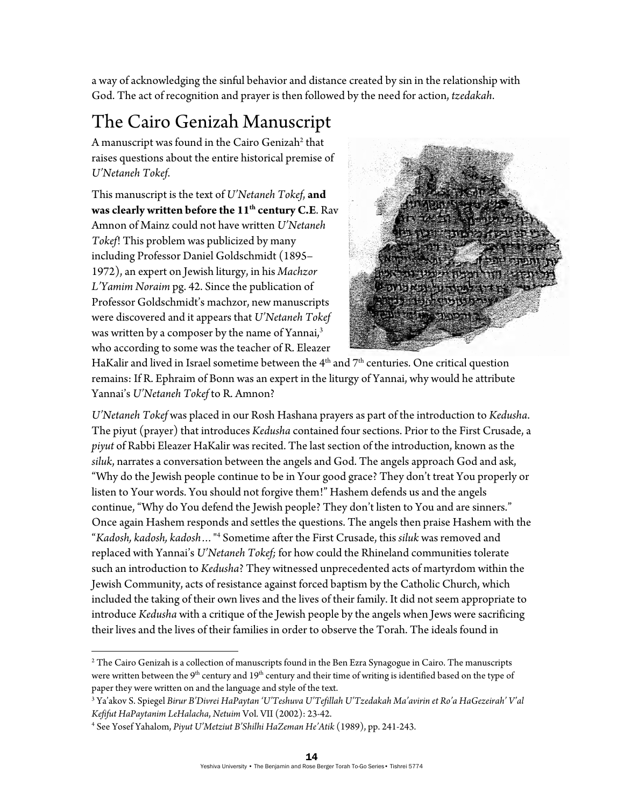a way of acknowledging the sinful behavior and distance created by sin in the relationship with God. The act of recognition and prayer is then followed by the need for action, *tzedakah*.

## The Cairo Genizah Manuscript

A manuscript was found in the Cairo Genizah<sup>2</sup> that raises questions about the entire historical premise of *U'Netaneh Tokef*.

This manuscript is the text of *U'Netaneh Tokef*, **and was clearly written before the 11th century C.E**. Rav Amnon of Mainz could not have written *U'Netaneh Tokef*! This problem was publicized by many including Professor Daniel Goldschmidt (1895– 1972), an expert on Jewish liturgy, in his *Machzor L'Yamim Noraim* pg. 42. Since the publication of Professor Goldschmidt's machzor, new manuscripts were discovered and it appears that *U'Netaneh Tokef*  was written by a composer by the name of Yannai,<sup>3</sup> who according to some was the teacher of R. Eleazer



HaKalir and lived in Israel sometime between the  $4<sup>th</sup>$  and  $7<sup>th</sup>$  centuries. One critical question remains: If R. Ephraim of Bonn was an expert in the liturgy of Yannai, why would he attribute Yannai's *U'Netaneh Tokef* to R. Amnon?

*U'Netaneh Tokef* was placed in our Rosh Hashana prayers as part of the introduction to *Kedusha*. The piyut (prayer) that introduces *Kedusha* contained four sections. Prior to the First Crusade, a *piyut* of Rabbi Eleazer HaKalir was recited. The last section of the introduction, known as the *siluk*, narrates a conversation between the angels and God. The angels approach God and ask, "Why do the Jewish people continue to be in Your good grace? They don't treat You properly or listen to Your words. You should not forgive them!" Hashem defends us and the angels continue, "Why do You defend the Jewish people? They don't listen to You and are sinners." Once again Hashem responds and settles the questions. The angels then praise Hashem with the "*Kadosh, kadosh, kadosh…*" 4 Sometime after the First Crusade, this *siluk* was removed and replaced with Yannai's *U'Netaneh Tokef;* for how could the Rhineland communities tolerate such an introduction to *Kedusha*? They witnessed unprecedented acts of martyrdom within the Jewish Community, acts of resistance against forced baptism by the Catholic Church, which included the taking of their own lives and the lives of their family. It did not seem appropriate to introduce *Kedusha* with a critique of the Jewish people by the angels when Jews were sacrificing their lives and the lives of their families in order to observe the Torah. The ideals found in

 $\overline{a}$ 

 $^2$  The Cairo Genizah is a collection of manuscripts found in the Ben Ezra Synagogue in Cairo. The manuscripts were written between the 9<sup>th</sup> century and 19<sup>th</sup> century and their time of writing is identified based on the type of paper they were written on and the language and style of the text.

<sup>3</sup> Ya'akov S. Spiegel *Birur B'Divrei HaPaytan 'U'Teshuva U'Tefillah U'Tzedakah Ma'avirin et Ro'a HaGezeirah' V'al Kefifut HaPaytanim LeHalacha*, *Netuim* Vol. VII (2002): 23-42. 4

See Yosef Yahalom, *Piyut U'Metziut B'Shilhi HaZeman He'Atik* (1989), pp. 241-243.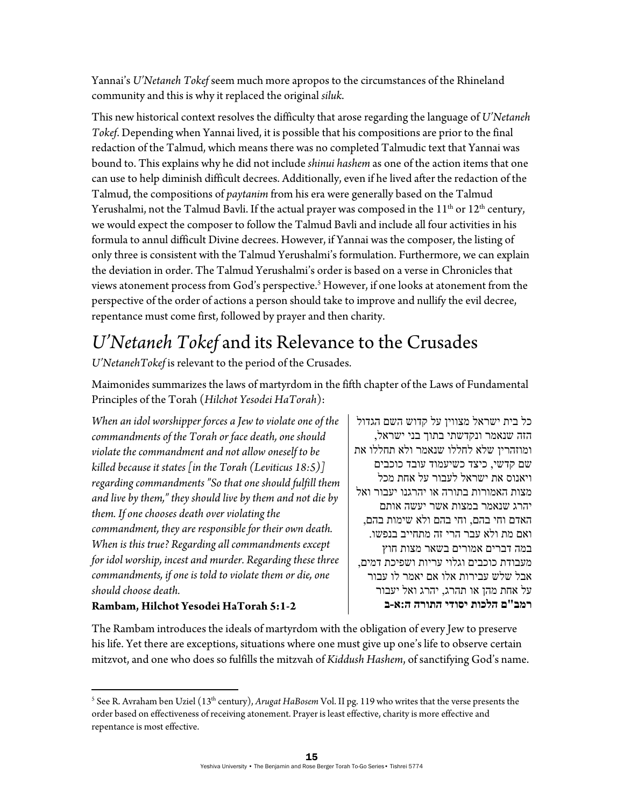Yannai's *U'Netaneh Tokef* seem much more apropos to the circumstances of the Rhineland community and this is why it replaced the original *siluk*.

This new historical context resolves the difficulty that arose regarding the language of *U'Netaneh Tokef*. Depending when Yannai lived, it is possible that his compositions are prior to the final redaction of the Talmud, which means there was no completed Talmudic text that Yannai was bound to. This explains why he did not include *shinui hashem* as one of the action items that one can use to help diminish difficult decrees. Additionally, even if he lived after the redaction of the Talmud, the compositions of *paytanim* from his era were generally based on the Talmud Yerushalmi, not the Talmud Bavli. If the actual prayer was composed in the  $11<sup>th</sup>$  or  $12<sup>th</sup>$  century, we would expect the composer to follow the Talmud Bavli and include all four activities in his formula to annul difficult Divine decrees. However, if Yannai was the composer, the listing of only three is consistent with the Talmud Yerushalmi's formulation. Furthermore, we can explain the deviation in order. The Talmud Yerushalmi's order is based on a verse in Chronicles that views atonement process from God's perspective.<sup>5</sup> However, if one looks at atonement from the perspective of the order of actions a person should take to improve and nullify the evil decree, repentance must come first, followed by prayer and then charity.

## *U'Netaneh Tokef* and its Relevance to the Crusades

*U'NetanehTokef* is relevant to the period of the Crusades.

Maimonides summarizes the laws of martyrdom in the fifth chapter of the Laws of Fundamental Principles of the Torah (*Hilchot Yesodei HaTorah*):

*When an idol worshipper forces a Jew to violate one of the commandments of the Torah or face death, one should violate the commandment and not allow oneself to be killed because it states [in the Torah (Leviticus 18:5)] regarding commandments "So that one should fulfill them and live by them," they should live by them and not die by them. If one chooses death over violating the commandment, they are responsible for their own death. When is this true? Regarding all commandments except for idol worship, incest and murder. Regarding these three commandments, if one is told to violate them or die, one should choose death.* 

#### **Rambam, Hilchot Yesodei HaTorah 5:1-2**

 $\overline{a}$ 

כל בית ישראל מצווין על קדוש השם הגדול הזה שנאמר ונקדשתי בתוך בני ישראל, ומוזהרין שלא לחללו שנאמר ולא תחללו את שם קדשי, כיצד כשיעמוד עובד כוכבים ויאנוס את ישראל לעבור על אחת מכל מצות האמורות בתורה או יהרגנו יעבור ואל יהרג שנאמר במצות אשר יעשה אותם האדם וחי בהם, וחי בהם ולא שימות בהם, ואם מת ולא עבר הרי זה מתחייב בנפשו. במה דברים אמורים בשאר מצות חוץ מעבודת כוכבים וגלוי עריות ושפיכת דמים, אבל שלש עבירות אלו אם יאמר לו עבור על אחת מהן או תהרג, יהרג ואל יעבור **רמב"ם הלכות יסודי התורה ה:א-ב** 

The Rambam introduces the ideals of martyrdom with the obligation of every Jew to preserve his life. Yet there are exceptions, situations where one must give up one's life to observe certain mitzvot, and one who does so fulfills the mitzvah of *Kiddush Hashem*, of sanctifying God's name.

<sup>&</sup>lt;sup>5</sup> See R. Avraham ben Uziel (13<sup>th</sup> century), *Arugat HaBosem* Vol. II pg. 119 who writes that the verse presents the order based on effectiveness of receiving atonement. Prayer is least effective, charity is more effective and repentance is most effective.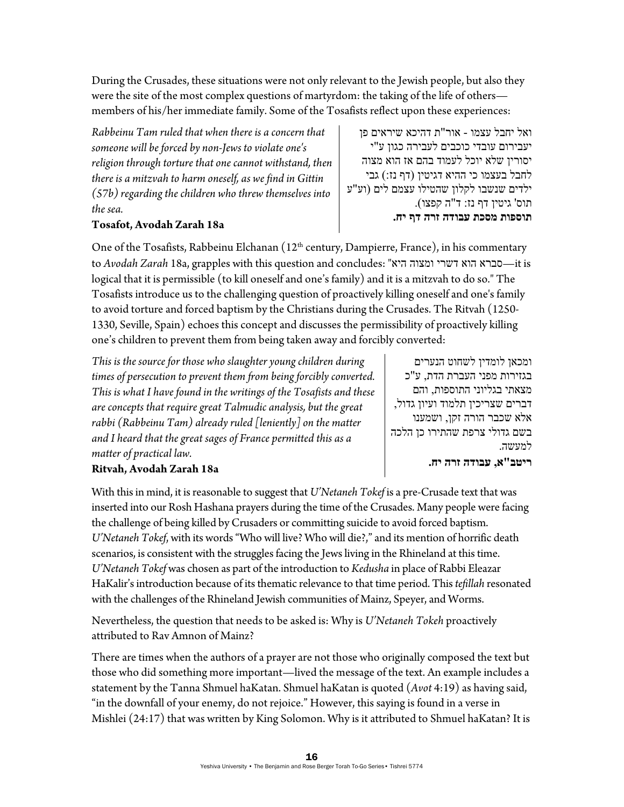During the Crusades, these situations were not only relevant to the Jewish people, but also they were the site of the most complex questions of martyrdom: the taking of the life of others members of his/her immediate family. Some of the Tosafists reflect upon these experiences:

*Rabbeinu Tam ruled that when there is a concern that someone will be forced by non-Jews to violate one's religion through torture that one cannot withstand, then there is a mitzvah to harm oneself, as we find in Gittin (57b) regarding the children who threw themselves into the sea.* 

#### **Tosafot, Avodah Zarah 18a**

One of the Tosafists, Rabbeinu Elchanan (12<sup>th</sup> century, Dampierre, France), in his commentary to *Avodah Zarah* 18a, grapples with this question and concludes: "היא ומצוה דשרי הוא סברא—it is logical that it is permissible (to kill oneself and one's family) and it is a mitzvah to do so." The Tosafists introduce us to the challenging question of proactively killing oneself and one's family to avoid torture and forced baptism by the Christians during the Crusades. The Ritvah (1250- 1330, Seville, Spain) echoes this concept and discusses the permissibility of proactively killing one's children to prevent them from being taken away and forcibly converted:

*This is the source for those who slaughter young children during times of persecution to prevent them from being forcibly converted. This is what I have found in the writings of the Tosafists and these are concepts that require great Talmudic analysis, but the great rabbi (Rabbeinu Tam) already ruled [leniently] on the matter and I heard that the great sages of France permitted this as a matter of practical law.* 

ומכאן לומדין לשחוט הנערים בגזירות מפני העברת הדת, ע"כ מצאתי בגליוני התוספות, והם דברים שצריכין תלמוד ועיון גדול, אלא שכבר הורה זקן, ושמענו בשם גדולי צרפת שהתירו כן הלכה למעשה.

**ריטב"א, עבודה זרה יח.** 

#### **Ritvah, Avodah Zarah 18a**

With this in mind, it is reasonable to suggest that *U'Netaneh Tokef* is a pre-Crusade text that was inserted into our Rosh Hashana prayers during the time of the Crusades. Many people were facing the challenge of being killed by Crusaders or committing suicide to avoid forced baptism. *U'Netaneh Tokef*, with its words "Who will live? Who will die?," and its mention of horrific death scenarios, is consistent with the struggles facing the Jews living in the Rhineland at this time. *U'Netaneh Tokef* was chosen as part of the introduction to *Kedusha* in place of Rabbi Eleazar HaKalir's introduction because of its thematic relevance to that time period. This *tefillah* resonated with the challenges of the Rhineland Jewish communities of Mainz, Speyer, and Worms.

Nevertheless, the question that needs to be asked is: Why is *U'Netaneh Tokeh* proactively attributed to Rav Amnon of Mainz?

There are times when the authors of a prayer are not those who originally composed the text but those who did something more important—lived the message of the text. An example includes a statement by the Tanna Shmuel haKatan. Shmuel haKatan is quoted (*Avot* 4:19) as having said, "in the downfall of your enemy, do not rejoice." However, this saying is found in a verse in Mishlei (24:17) that was written by King Solomon. Why is it attributed to Shmuel haKatan? It is

יעבירום עובדי כוכבים לעבירה כגון ע"י יסורין שלא יוכל לעמוד בהם אז הוא מצוה לחבל בעצמו כי ההיא דגיטין (דף נז:) גבי ילדים שנשבו לקלון שהטילו עצמם לים (וע"ע תוס' גיטין דף נז: ד"ה קפצו). **תוספות מסכת עבודה זרה דף יח.**

ואל יחבל עצמו - אור"ת דהיכא שיראים פן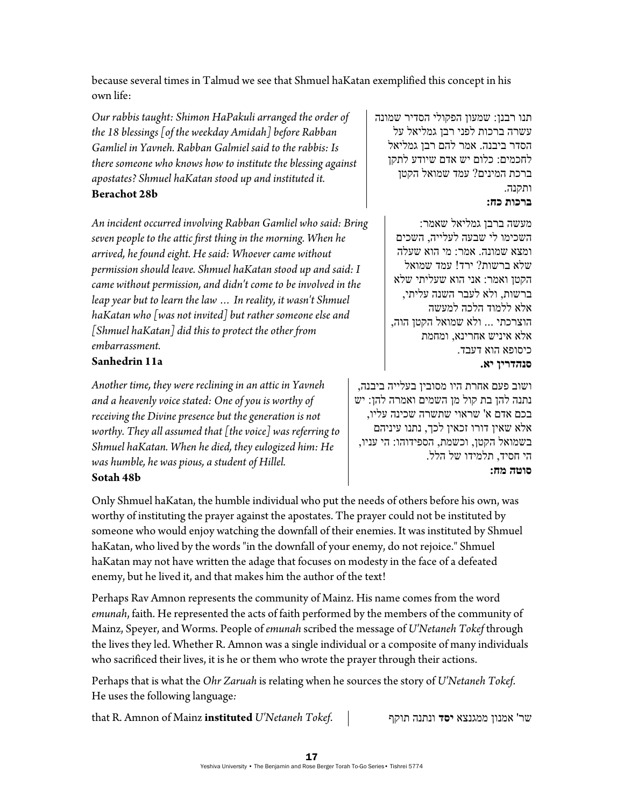because several times in Talmud we see that Shmuel haKatan exemplified this concept in his own life:

*Our rabbis taught: Shimon HaPakuli arranged the order of the 18 blessings [of the weekday Amidah] before Rabban Gamliel in Yavneh. Rabban Galmiel said to the rabbis: Is there someone who knows how to institute the blessing against apostates? Shmuel haKatan stood up and instituted it.*  **Berachot 28b** 

*An incident occurred involving Rabban Gamliel who said: Bring seven people to the attic first thing in the morning. When he arrived, he found eight. He said: Whoever came without permission should leave. Shmuel haKatan stood up and said: I came without permission, and didn't come to be involved in the leap year but to learn the law … In reality, it wasn't Shmuel haKatan who [was not invited] but rather someone else and [Shmuel haKatan] did this to protect the other from embarrassment.* 

#### **Sanhedrin 11a**

*Another time, they were reclining in an attic in Yavneh and a heavenly voice stated: One of you is worthy of receiving the Divine presence but the generation is not worthy. They all assumed that [the voice] was referring to Shmuel haKatan. When he died, they eulogized him: He was humble, he was pious, a student of Hillel.*  **Sotah 48b**

תנו רבנן: שמעון הפקולי הסדיר שמונה עשרה ברכות לפני רבן גמליאל על הסדר ביבנה. אמר להם רבן גמליאל לחכמים: כלום יש אדם שיודע לתקן ברכת המינים? עמד שמואל הקטן ותקנה. **ברכות כח:**

> מעשה ברבן גמליאל שאמר: השכימו לי שבעה לעלייה, השכים ומצא שמונה. אמר: מי הוא שעלה שלא ברשות? ירד! עמד שמואל הקטן ואמר: אני הוא שעליתי שלא ברשות, ולא לעבר השנה עליתי, אלא ללמוד הלכה למעשה הוצרכתי ... ולא שמואל הקטן הוה, אלא איניש אחרינא, ומחמת כיסופא הוא דעבד. **סנהדרין יא.**

ושוב פעם אחרת היו מסובין בעלייה ביבנה, נתנה להן בת קול מן השמים ואמרה להן: יש בכם אדם א' שראוי שתשרה שכינה עליו, אלא שאין דורו זכאין לכך, נתנו עיניהם בשמואל הקטן, וכשמת, הספידוהו: הי עניו, הי חסיד, תלמידו של הלל. **סוטה מח:** 

Only Shmuel haKatan, the humble individual who put the needs of others before his own, was worthy of instituting the prayer against the apostates. The prayer could not be instituted by someone who would enjoy watching the downfall of their enemies. It was instituted by Shmuel haKatan, who lived by the words "in the downfall of your enemy, do not rejoice." Shmuel haKatan may not have written the adage that focuses on modesty in the face of a defeated enemy, but he lived it, and that makes him the author of the text!

Perhaps Rav Amnon represents the community of Mainz. His name comes from the word *emunah*, faith. He represented the acts of faith performed by the members of the community of Mainz, Speyer, and Worms. People of *emunah* scribed the message of *U'Netaneh Tokef* through the lives they led. Whether R. Amnon was a single individual or a composite of many individuals who sacrificed their lives, it is he or them who wrote the prayer through their actions.

Perhaps that is what the *Ohr Zaruah* is relating when he sources the story of *U'Netaneh Tokef*. He uses the following language*:* 

that R. Amnon of Mainz **instituted** *U'Netaneh Tokef*. תוקף ונתנה **יסד** ממגנצא אמנון' שר